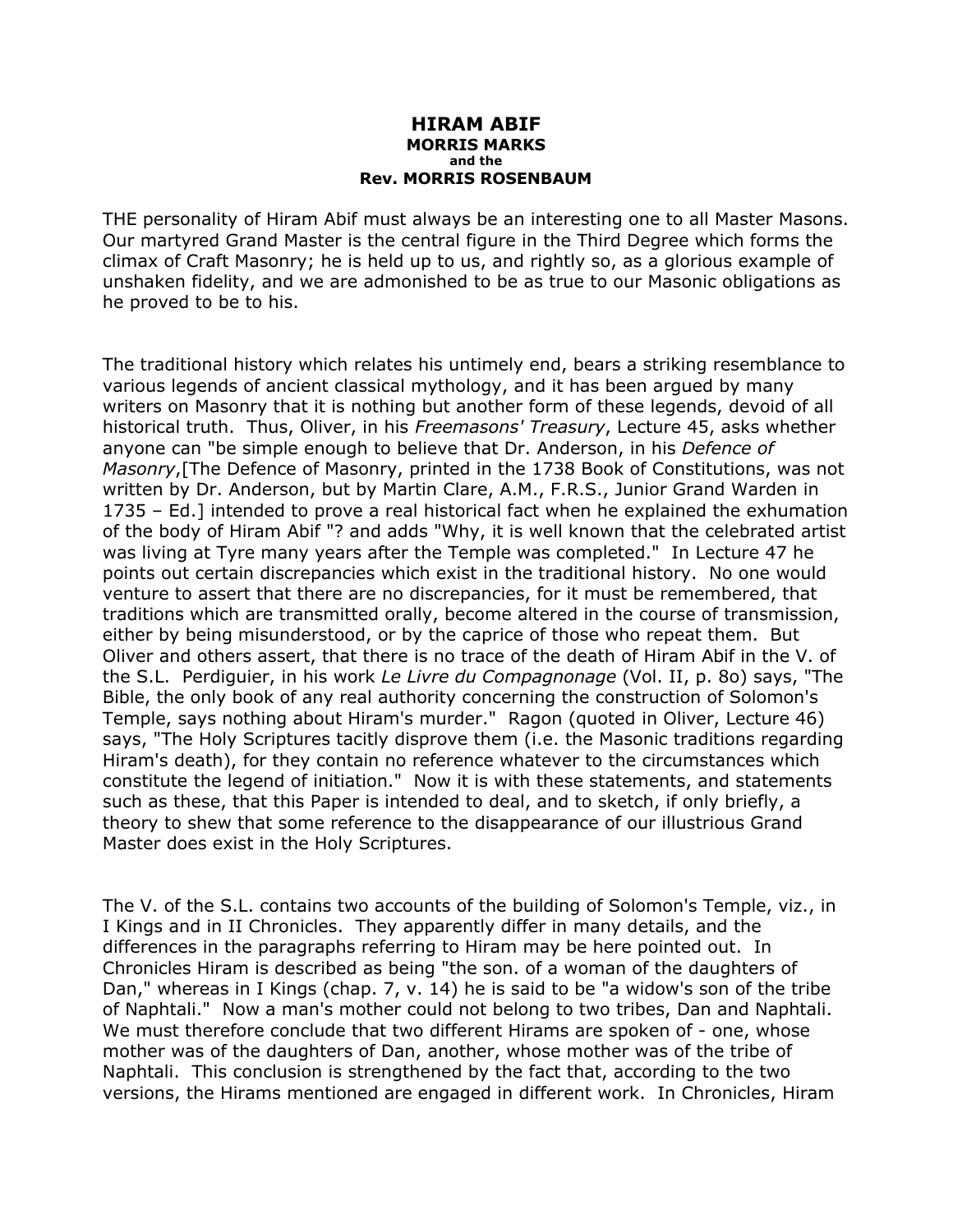## **HIRAM ABIF MORRIS MARKS and the Rev. MORRIS ROSENBAUM**

THE personality of Hiram Abif must always be an interesting one to all Master Masons. Our martyred Grand Master is the central figure in the Third Degree which forms the climax of Craft Masonry; he is held up to us, and rightly so, as a glorious example of unshaken fidelity, and we are admonished to be as true to our Masonic obligations as he proved to be to his.

The traditional history which relates his untimely end, bears a striking resemblance to various legends of ancient classical mythology, and it has been argued by many writers on Masonry that it is nothing but another form of these legends, devoid of all historical truth. Thus, Oliver, in his *Freemasons' Treasury*, Lecture 45, asks whether anyone can "be simple enough to believe that Dr. Anderson, in his *Defence of Masonry*,[The Defence of Masonry, printed in the 1738 Book of Constitutions, was not written by Dr. Anderson, but by Martin Clare, A.M., F.R.S., Junior Grand Warden in 1735 – Ed.] intended to prove a real historical fact when he explained the exhumation of the body of Hiram Abif "? and adds "Why, it is well known that the celebrated artist was living at Tyre many years after the Temple was completed." In Lecture 47 he points out certain discrepancies which exist in the traditional history. No one would venture to assert that there are no discrepancies, for it must be remembered, that traditions which are transmitted orally, become altered in the course of transmission, either by being misunderstood, or by the caprice of those who repeat them. But Oliver and others assert, that there is no trace of the death of Hiram Abif in the V. of the S.L. Perdiguier, in his work *Le Livre du Compagnonage* (Vol. II, p. 8o) says, "The Bible, the only book of any real authority concerning the construction of Solomon's Temple, says nothing about Hiram's murder." Ragon (quoted in Oliver, Lecture 46) says, "The Holy Scriptures tacitly disprove them (i.e. the Masonic traditions regarding Hiram's death), for they contain no reference whatever to the circumstances which constitute the legend of initiation." Now it is with these statements, and statements such as these, that this Paper is intended to deal, and to sketch, if only briefly, a theory to shew that some reference to the disappearance of our illustrious Grand Master does exist in the Holy Scriptures.

The V. of the S.L. contains two accounts of the building of Solomon's Temple, viz., in I Kings and in II Chronicles. They apparently differ in many details, and the differences in the paragraphs referring to Hiram may be here pointed out. In Chronicles Hiram is described as being "the son. of a woman of the daughters of Dan," whereas in I Kings (chap. 7, v. 14) he is said to be "a widow's son of the tribe of Naphtali." Now a man's mother could not belong to two tribes, Dan and Naphtali. We must therefore conclude that two different Hirams are spoken of - one, whose mother was of the daughters of Dan, another, whose mother was of the tribe of Naphtali. This conclusion is strengthened by the fact that, according to the two versions, the Hirams mentioned are engaged in different work. In Chronicles, Hiram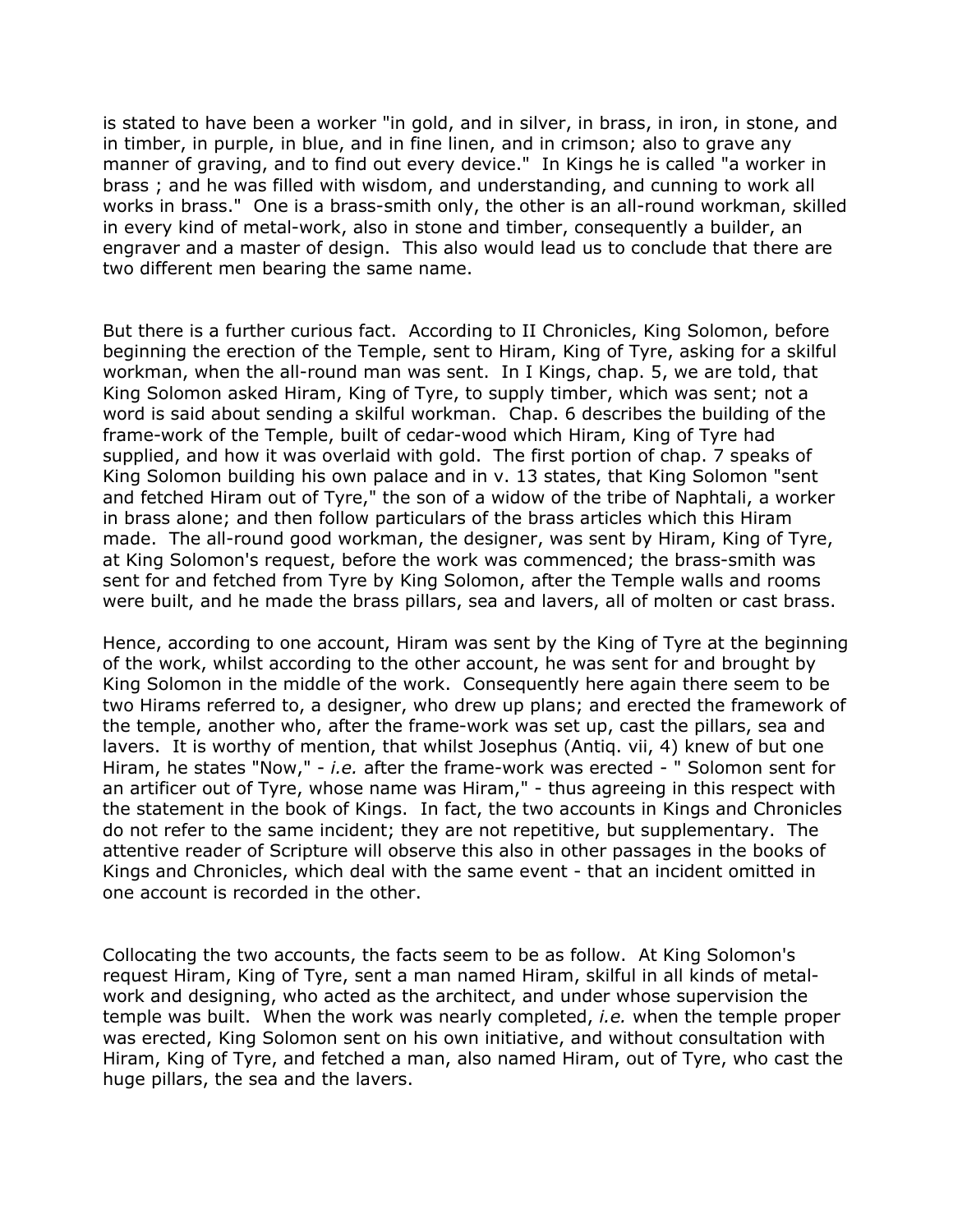is stated to have been a worker "in gold, and in silver, in brass, in iron, in stone, and in timber, in purple, in blue, and in fine linen, and in crimson; also to grave any manner of graving, and to find out every device." In Kings he is called "a worker in brass ; and he was filled with wisdom, and understanding, and cunning to work all works in brass." One is a brass-smith only, the other is an all-round workman, skilled in every kind of metal-work, also in stone and timber, consequently a builder, an engraver and a master of design. This also would lead us to conclude that there are two different men bearing the same name.

But there is a further curious fact. According to II Chronicles, King Solomon, before beginning the erection of the Temple, sent to Hiram, King of Tyre, asking for a skilful workman, when the all-round man was sent. In I Kings, chap. 5, we are told, that King Solomon asked Hiram, King of Tyre, to supply timber, which was sent; not a word is said about sending a skilful workman. Chap. 6 describes the building of the frame-work of the Temple, built of cedar-wood which Hiram, King of Tyre had supplied, and how it was overlaid with gold. The first portion of chap. 7 speaks of King Solomon building his own palace and in v. 13 states, that King Solomon "sent and fetched Hiram out of Tyre," the son of a widow of the tribe of Naphtali, a worker in brass alone; and then follow particulars of the brass articles which this Hiram made. The all-round good workman, the designer, was sent by Hiram, King of Tyre, at King Solomon's request, before the work was commenced; the brass-smith was sent for and fetched from Tyre by King Solomon, after the Temple walls and rooms were built, and he made the brass pillars, sea and lavers, all of molten or cast brass.

Hence, according to one account, Hiram was sent by the King of Tyre at the beginning of the work, whilst according to the other account, he was sent for and brought by King Solomon in the middle of the work. Consequently here again there seem to be two Hirams referred to, a designer, who drew up plans; and erected the framework of the temple, another who, after the frame-work was set up, cast the pillars, sea and lavers. It is worthy of mention, that whilst Josephus (Antiq. vii, 4) knew of but one Hiram, he states "Now," - *i.e.* after the frame-work was erected - " Solomon sent for an artificer out of Tyre, whose name was Hiram," - thus agreeing in this respect with the statement in the book of Kings. In fact, the two accounts in Kings and Chronicles do not refer to the same incident; they are not repetitive, but supplementary. The attentive reader of Scripture will observe this also in other passages in the books of Kings and Chronicles, which deal with the same event - that an incident omitted in one account is recorded in the other.

Collocating the two accounts, the facts seem to be as follow. At King Solomon's request Hiram, King of Tyre, sent a man named Hiram, skilful in all kinds of metalwork and designing, who acted as the architect, and under whose supervision the temple was built. When the work was nearly completed, *i.e.* when the temple proper was erected, King Solomon sent on his own initiative, and without consultation with Hiram, King of Tyre, and fetched a man, also named Hiram, out of Tyre, who cast the huge pillars, the sea and the lavers.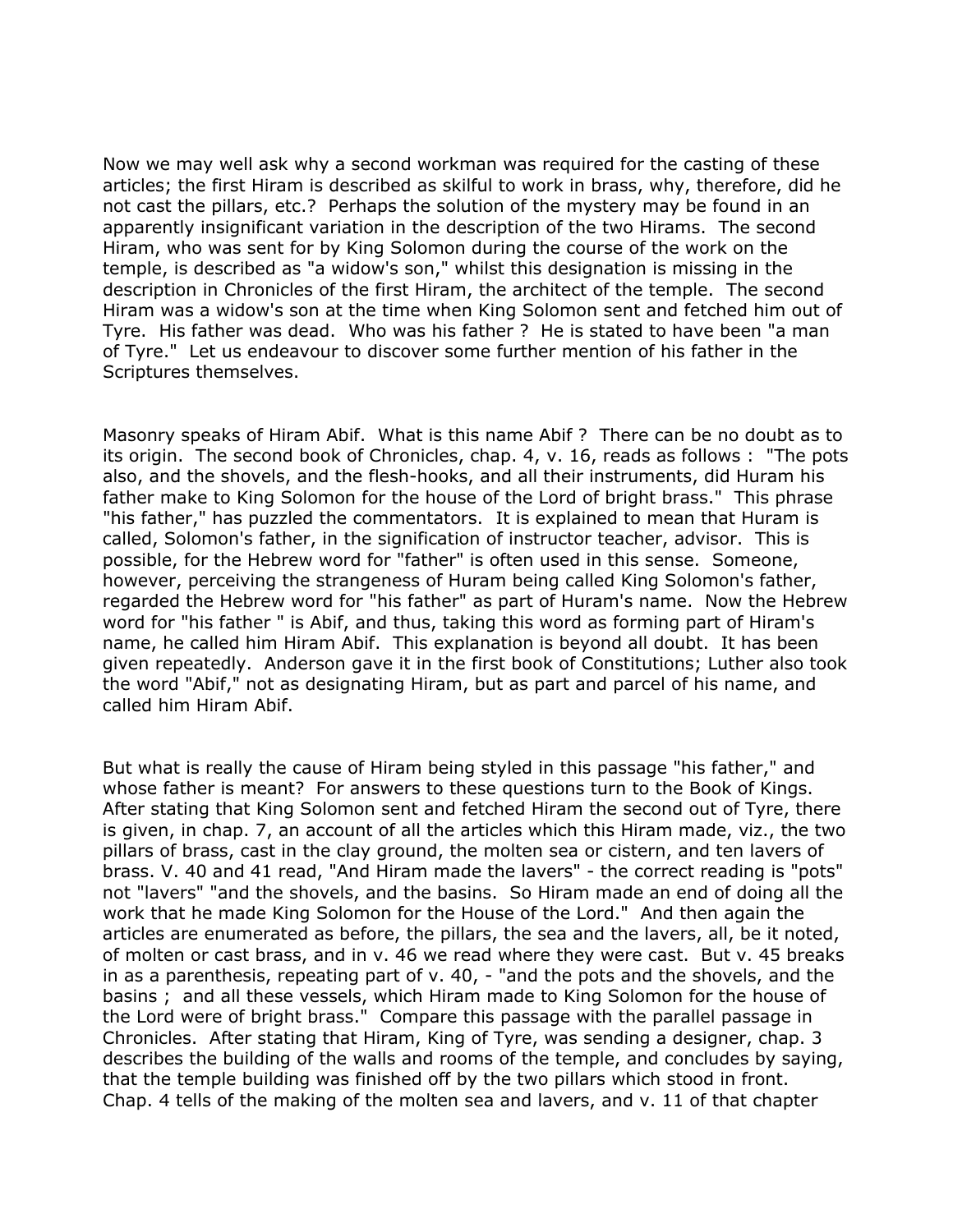Now we may well ask why a second workman was required for the casting of these articles; the first Hiram is described as skilful to work in brass, why, therefore, did he not cast the pillars, etc.? Perhaps the solution of the mystery may be found in an apparently insignificant variation in the description of the two Hirams. The second Hiram, who was sent for by King Solomon during the course of the work on the temple, is described as "a widow's son," whilst this designation is missing in the description in Chronicles of the first Hiram, the architect of the temple. The second Hiram was a widow's son at the time when King Solomon sent and fetched him out of Tyre. His father was dead. Who was his father ? He is stated to have been "a man of Tyre." Let us endeavour to discover some further mention of his father in the Scriptures themselves.

Masonry speaks of Hiram Abif. What is this name Abif ? There can be no doubt as to its origin. The second book of Chronicles, chap. 4, v. 16, reads as follows : "The pots also, and the shovels, and the flesh-hooks, and all their instruments, did Huram his father make to King Solomon for the house of the Lord of bright brass." This phrase "his father," has puzzled the commentators. It is explained to mean that Huram is called, Solomon's father, in the signification of instructor teacher, advisor. This is possible, for the Hebrew word for "father" is often used in this sense. Someone, however, perceiving the strangeness of Huram being called King Solomon's father, regarded the Hebrew word for "his father" as part of Huram's name. Now the Hebrew word for "his father " is Abif, and thus, taking this word as forming part of Hiram's name, he called him Hiram Abif. This explanation is beyond all doubt. It has been given repeatedly. Anderson gave it in the first book of Constitutions; Luther also took the word "Abif," not as designating Hiram, but as part and parcel of his name, and called him Hiram Abif.

But what is really the cause of Hiram being styled in this passage "his father," and whose father is meant? For answers to these questions turn to the Book of Kings. After stating that King Solomon sent and fetched Hiram the second out of Tyre, there is given, in chap. 7, an account of all the articles which this Hiram made, viz., the two pillars of brass, cast in the clay ground, the molten sea or cistern, and ten lavers of brass. V. 40 and 41 read, "And Hiram made the lavers" - the correct reading is "pots" not "lavers" "and the shovels, and the basins. So Hiram made an end of doing all the work that he made King Solomon for the House of the Lord." And then again the articles are enumerated as before, the pillars, the sea and the lavers, all, be it noted, of molten or cast brass, and in v. 46 we read where they were cast. But v. 45 breaks in as a parenthesis, repeating part of v. 40, - "and the pots and the shovels, and the basins ; and all these vessels, which Hiram made to King Solomon for the house of the Lord were of bright brass." Compare this passage with the parallel passage in Chronicles. After stating that Hiram, King of Tyre, was sending a designer, chap. 3 describes the building of the walls and rooms of the temple, and concludes by saying, that the temple building was finished off by the two pillars which stood in front. Chap. 4 tells of the making of the molten sea and lavers, and v. 11 of that chapter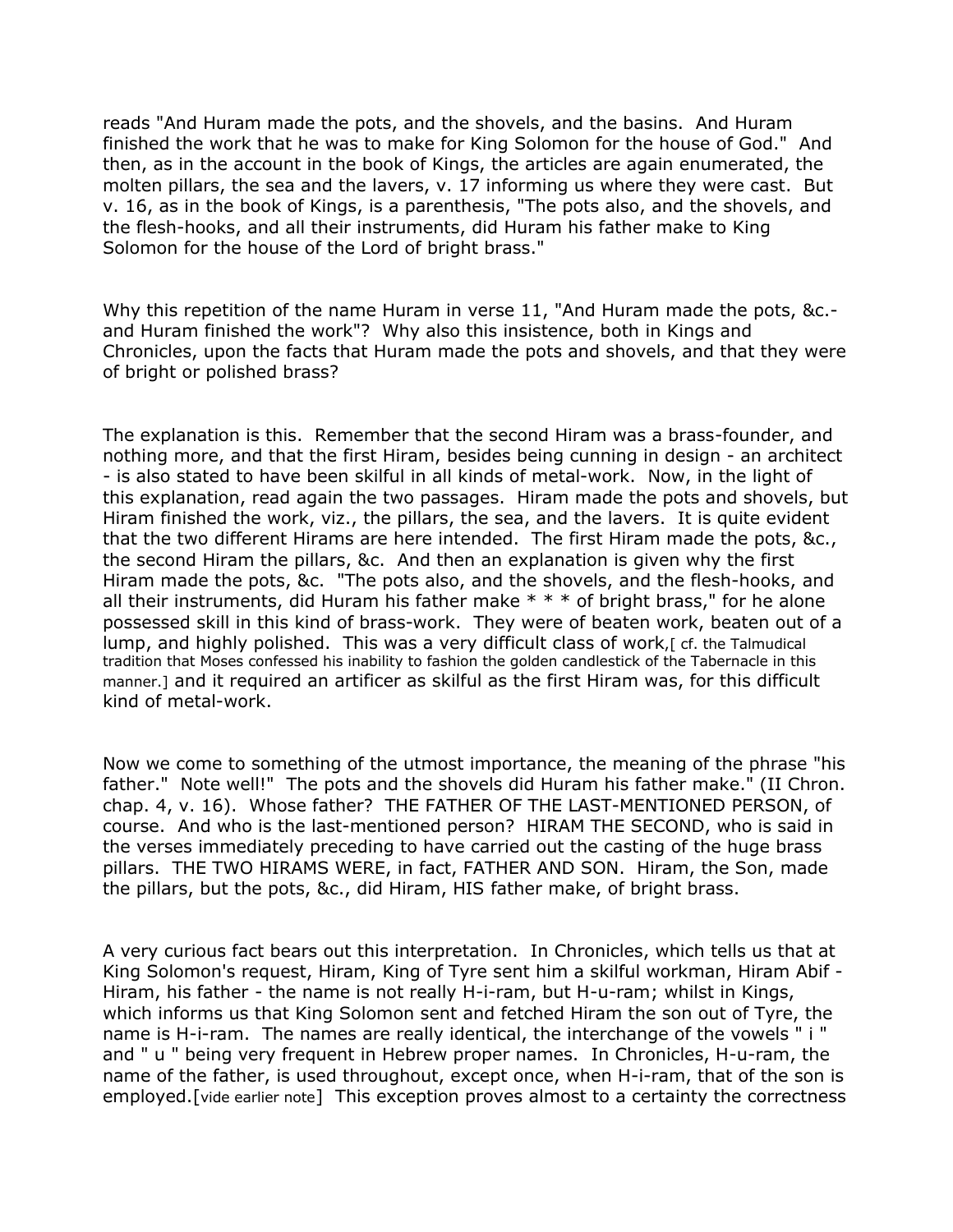reads "And Huram made the pots, and the shovels, and the basins. And Huram finished the work that he was to make for King Solomon for the house of God." And then, as in the account in the book of Kings, the articles are again enumerated, the molten pillars, the sea and the lavers, v. 17 informing us where they were cast. But v. 16, as in the book of Kings, is a parenthesis, "The pots also, and the shovels, and the flesh-hooks, and all their instruments, did Huram his father make to King Solomon for the house of the Lord of bright brass."

Why this repetition of the name Huram in verse 11, "And Huram made the pots, &c. and Huram finished the work"? Why also this insistence, both in Kings and Chronicles, upon the facts that Huram made the pots and shovels, and that they were of bright or polished brass?

The explanation is this. Remember that the second Hiram was a brass-founder, and nothing more, and that the first Hiram, besides being cunning in design - an architect - is also stated to have been skilful in all kinds of metal-work. Now, in the light of this explanation, read again the two passages. Hiram made the pots and shovels, but Hiram finished the work, viz., the pillars, the sea, and the lavers. It is quite evident that the two different Hirams are here intended. The first Hiram made the pots, &c., the second Hiram the pillars, &c. And then an explanation is given why the first Hiram made the pots, &c. "The pots also, and the shovels, and the flesh-hooks, and all their instruments, did Huram his father make  $* * *$  of bright brass," for he alone possessed skill in this kind of brass-work. They were of beaten work, beaten out of a lump, and highly polished. This was a very difficult class of work, [cf. the Talmudical tradition that Moses confessed his inability to fashion the golden candlestick of the Tabernacle in this manner.] and it required an artificer as skilful as the first Hiram was, for this difficult kind of metal-work.

Now we come to something of the utmost importance, the meaning of the phrase "his father." Note well!" The pots and the shovels did Huram his father make." (II Chron. chap. 4, v. 16). Whose father? THE FATHER OF THE LAST-MENTIONED PERSON, of course. And who is the last-mentioned person? HIRAM THE SECOND, who is said in the verses immediately preceding to have carried out the casting of the huge brass pillars. THE TWO HIRAMS WERE, in fact, FATHER AND SON. Hiram, the Son, made the pillars, but the pots, &c., did Hiram, HIS father make, of bright brass.

A very curious fact bears out this interpretation. In Chronicles, which tells us that at King Solomon's request, Hiram, King of Tyre sent him a skilful workman, Hiram Abif - Hiram, his father - the name is not really H-i-ram, but H-u-ram; whilst in Kings, which informs us that King Solomon sent and fetched Hiram the son out of Tyre, the name is H-i-ram. The names are really identical, the interchange of the vowels " i " and " u " being very frequent in Hebrew proper names. In Chronicles, H-u-ram, the name of the father, is used throughout, except once, when H-i-ram, that of the son is employed.[vide earlier note] This exception proves almost to a certainty the correctness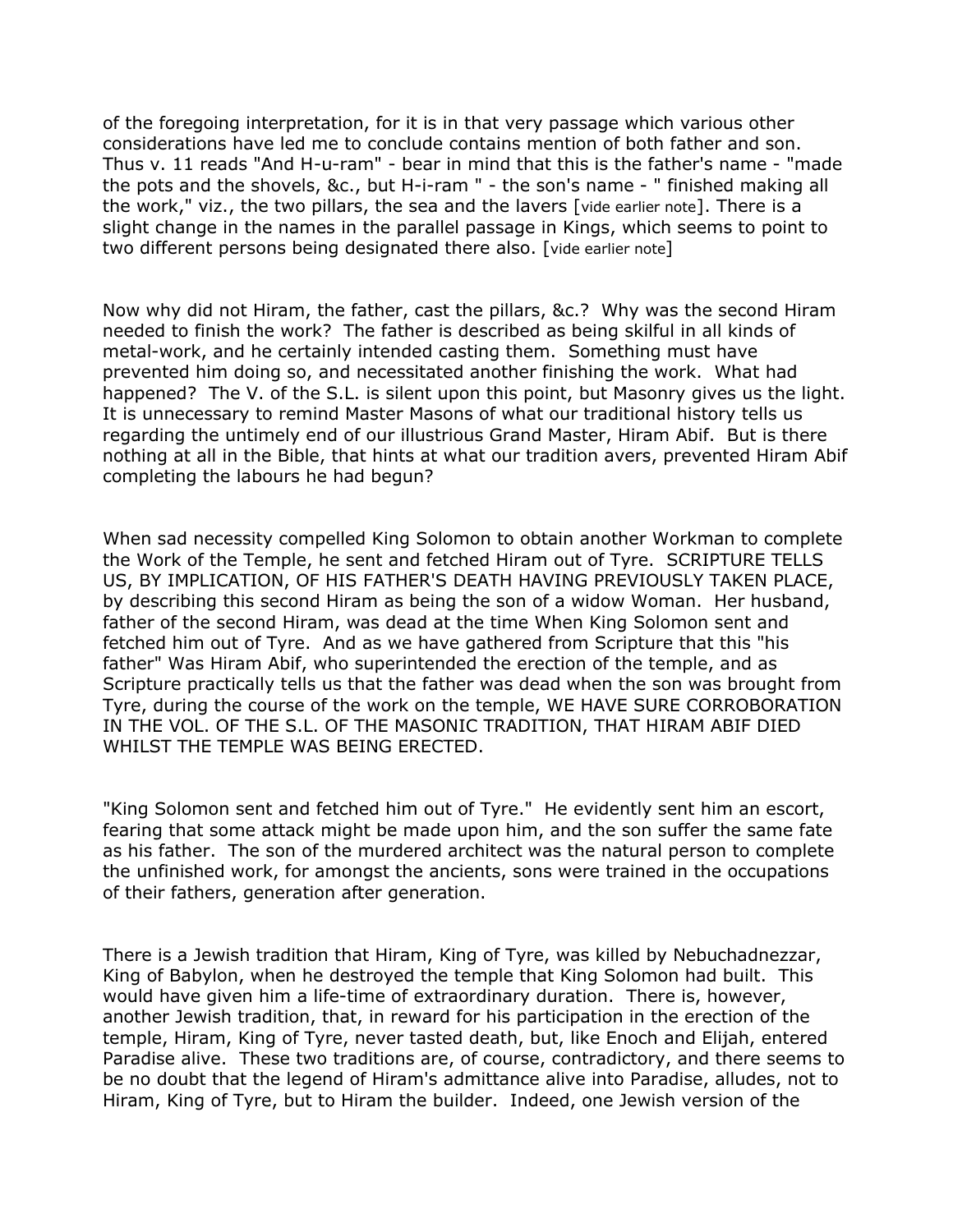of the foregoing interpretation, for it is in that very passage which various other considerations have led me to conclude contains mention of both father and son. Thus v. 11 reads "And H-u-ram" - bear in mind that this is the father's name - "made the pots and the shovels, &c., but H-i-ram " - the son's name - " finished making all the work," viz., the two pillars, the sea and the lavers [vide earlier note]. There is a slight change in the names in the parallel passage in Kings, which seems to point to two different persons being designated there also. [vide earlier note]

Now why did not Hiram, the father, cast the pillars, &c.? Why was the second Hiram needed to finish the work? The father is described as being skilful in all kinds of metal-work, and he certainly intended casting them. Something must have prevented him doing so, and necessitated another finishing the work. What had happened? The V. of the S.L. is silent upon this point, but Masonry gives us the light. It is unnecessary to remind Master Masons of what our traditional history tells us regarding the untimely end of our illustrious Grand Master, Hiram Abif. But is there nothing at all in the Bible, that hints at what our tradition avers, prevented Hiram Abif completing the labours he had begun?

When sad necessity compelled King Solomon to obtain another Workman to complete the Work of the Temple, he sent and fetched Hiram out of Tyre. SCRIPTURE TELLS US, BY IMPLICATION, OF HIS FATHER'S DEATH HAVING PREVIOUSLY TAKEN PLACE, by describing this second Hiram as being the son of a widow Woman. Her husband, father of the second Hiram, was dead at the time When King Solomon sent and fetched him out of Tyre. And as we have gathered from Scripture that this "his father" Was Hiram Abif, who superintended the erection of the temple, and as Scripture practically tells us that the father was dead when the son was brought from Tyre, during the course of the work on the temple, WE HAVE SURE CORROBORATION IN THE VOL. OF THE S.L. OF THE MASONIC TRADITION, THAT HIRAM ABIF DIED WHILST THE TEMPLE WAS BEING ERECTED.

"King Solomon sent and fetched him out of Tyre." He evidently sent him an escort, fearing that some attack might be made upon him, and the son suffer the same fate as his father. The son of the murdered architect was the natural person to complete the unfinished work, for amongst the ancients, sons were trained in the occupations of their fathers, generation after generation.

There is a Jewish tradition that Hiram, King of Tyre, was killed by Nebuchadnezzar, King of Babylon, when he destroyed the temple that King Solomon had built. This would have given him a life-time of extraordinary duration. There is, however, another Jewish tradition, that, in reward for his participation in the erection of the temple, Hiram, King of Tyre, never tasted death, but, like Enoch and Elijah, entered Paradise alive. These two traditions are, of course, contradictory, and there seems to be no doubt that the legend of Hiram's admittance alive into Paradise, alludes, not to Hiram, King of Tyre, but to Hiram the builder. Indeed, one Jewish version of the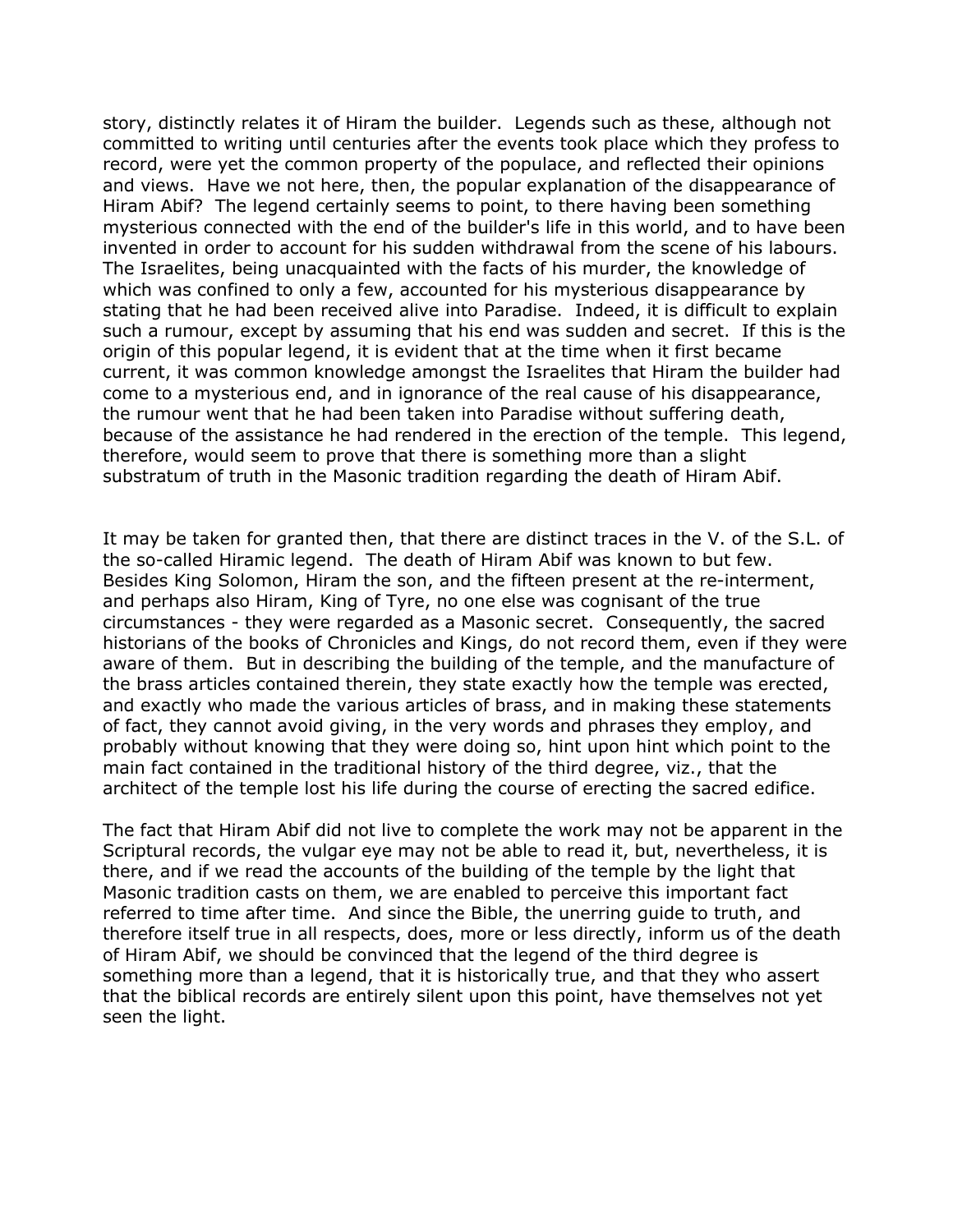story, distinctly relates it of Hiram the builder. Legends such as these, although not committed to writing until centuries after the events took place which they profess to record, were yet the common property of the populace, and reflected their opinions and views. Have we not here, then, the popular explanation of the disappearance of Hiram Abif? The legend certainly seems to point, to there having been something mysterious connected with the end of the builder's life in this world, and to have been invented in order to account for his sudden withdrawal from the scene of his labours. The Israelites, being unacquainted with the facts of his murder, the knowledge of which was confined to only a few, accounted for his mysterious disappearance by stating that he had been received alive into Paradise. Indeed, it is difficult to explain such a rumour, except by assuming that his end was sudden and secret. If this is the origin of this popular legend, it is evident that at the time when it first became current, it was common knowledge amongst the Israelites that Hiram the builder had come to a mysterious end, and in ignorance of the real cause of his disappearance, the rumour went that he had been taken into Paradise without suffering death, because of the assistance he had rendered in the erection of the temple. This legend, therefore, would seem to prove that there is something more than a slight substratum of truth in the Masonic tradition regarding the death of Hiram Abif.

It may be taken for granted then, that there are distinct traces in the V. of the S.L. of the so-called Hiramic legend. The death of Hiram Abif was known to but few. Besides King Solomon, Hiram the son, and the fifteen present at the re-interment, and perhaps also Hiram, King of Tyre, no one else was cognisant of the true circumstances - they were regarded as a Masonic secret. Consequently, the sacred historians of the books of Chronicles and Kings, do not record them, even if they were aware of them. But in describing the building of the temple, and the manufacture of the brass articles contained therein, they state exactly how the temple was erected, and exactly who made the various articles of brass, and in making these statements of fact, they cannot avoid giving, in the very words and phrases they employ, and probably without knowing that they were doing so, hint upon hint which point to the main fact contained in the traditional history of the third degree, viz., that the architect of the temple lost his life during the course of erecting the sacred edifice.

The fact that Hiram Abif did not live to complete the work may not be apparent in the Scriptural records, the vulgar eye may not be able to read it, but, nevertheless, it is there, and if we read the accounts of the building of the temple by the light that Masonic tradition casts on them, we are enabled to perceive this important fact referred to time after time. And since the Bible, the unerring guide to truth, and therefore itself true in all respects, does, more or less directly, inform us of the death of Hiram Abif, we should be convinced that the legend of the third degree is something more than a legend, that it is historically true, and that they who assert that the biblical records are entirely silent upon this point, have themselves not yet seen the light.